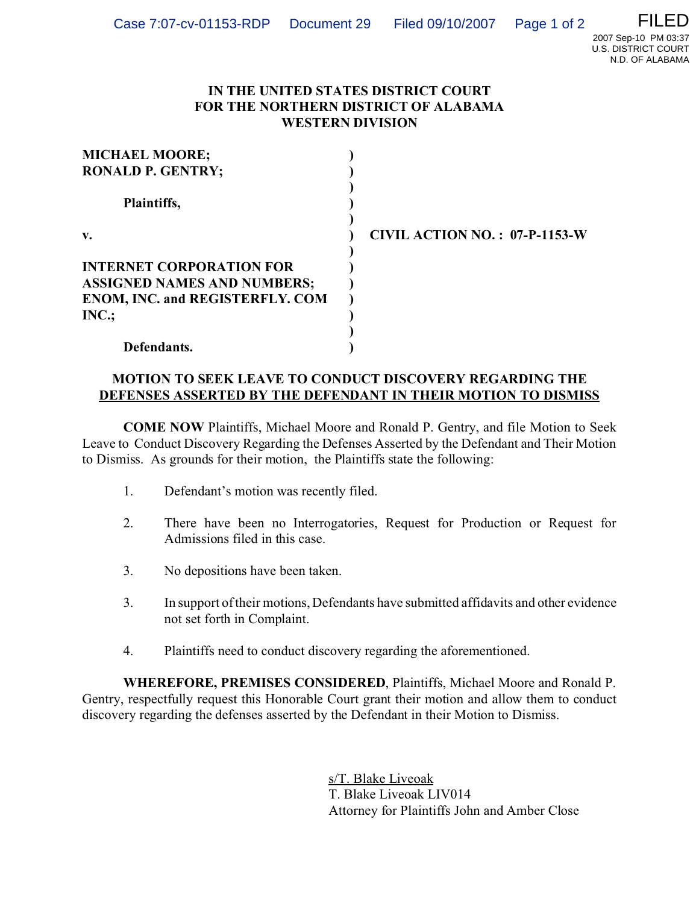## **IN THE UNITED STATES DISTRICT COURT FOR THE NORTHERN DISTRICT OF ALABAMA WESTERN DIVISION**

| <b>MICHAEL MOORE;</b>                  |                                      |
|----------------------------------------|--------------------------------------|
| <b>RONALD P. GENTRY;</b>               |                                      |
| Plaintiffs,                            |                                      |
| $\mathbf{v}$ .                         | <b>CIVIL ACTION NO.: 07-P-1153-W</b> |
|                                        |                                      |
| <b>INTERNET CORPORATION FOR</b>        |                                      |
| <b>ASSIGNED NAMES AND NUMBERS;</b>     |                                      |
| <b>ENOM, INC. and REGISTERFLY. COM</b> |                                      |
| INC.;                                  |                                      |
|                                        |                                      |
| Defendants.                            |                                      |

## **MOTION TO SEEK LEAVE TO CONDUCT DISCOVERY REGARDING THE DEFENSES ASSERTED BY THE DEFENDANT IN THEIR MOTION TO DISMISS**

**COME NOW** Plaintiffs, Michael Moore and Ronald P. Gentry, and file Motion to Seek Leave to Conduct Discovery Regarding the Defenses Asserted by the Defendant and Their Motion to Dismiss. As grounds for their motion, the Plaintiffs state the following:

- 1. Defendant's motion was recently filed.
- 2. There have been no Interrogatories, Request for Production or Request for Admissions filed in this case.
- 3. No depositions have been taken.
- 3. In support of their motions, Defendants have submitted affidavits and other evidence not set forth in Complaint.
- 4. Plaintiffs need to conduct discovery regarding the aforementioned.

**WHEREFORE, PREMISES CONSIDERED**, Plaintiffs, Michael Moore and Ronald P. Gentry, respectfully request this Honorable Court grant their motion and allow them to conduct discovery regarding the defenses asserted by the Defendant in their Motion to Dismiss.

> s/T. Blake Liveoak T. Blake Liveoak LIV014 Attorney for Plaintiffs John and Amber Close